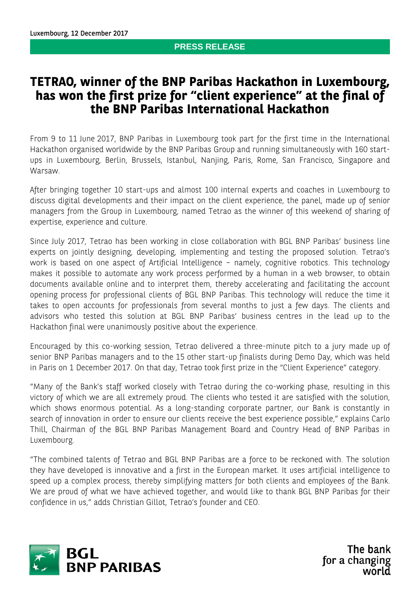## **PRESS RELEASE**

# **TETRAO, winner of the BNP Paribas Hackathon in Luxembourg, has won the first prize for "client experience" at the final of the BNP Paribas International Hackathon**

From 9 to 11 June 2017, BNP Paribas in Luxembourg took part for the first time in the International Hackathon organised worldwide by the BNP Paribas Group and running simultaneously with 160 startups in Luxembourg, Berlin, Brussels, Istanbul, Nanjing, Paris, Rome, San Francisco, Singapore and Warsaw.

After bringing together 10 start-ups and almost 100 internal experts and coaches in Luxembourg to discuss digital developments and their impact on the client experience, the panel, made up of senior managers from the Group in Luxembourg, named Tetrao as the winner of this weekend of sharing of expertise, experience and culture.

Since July 2017, Tetrao has been working in close collaboration with BGL BNP Paribas' business line experts on jointly designing, developing, implementing and testing the proposed solution. Tetrao's work is based on one aspect of Artificial Intelligence – namely, cognitive robotics. This technology makes it possible to automate any work process performed by a human in a web browser, to obtain documents available online and to interpret them, thereby accelerating and facilitating the account opening process for professional clients of BGL BNP Paribas. This technology will reduce the time it takes to open accounts for professionals from several months to just a few days. The clients and advisors who tested this solution at BGL BNP Paribas' business centres in the lead up to the Hackathon final were unanimously positive about the experience.

Encouraged by this co-working session, Tetrao delivered a three-minute pitch to a jury made up of senior BNP Paribas managers and to the 15 other start-up finalists during Demo Day, which was held in Paris on 1 December 2017. On that day, Tetrao took first prize in the "Client Experience" category.

"Many of the Bank's staff worked closely with Tetrao during the co-working phase, resulting in this victory of which we are all extremely proud. The clients who tested it are satisfied with the solution, which shows enormous potential. As a long-standing corporate partner, our Bank is constantly in search of innovation in order to ensure our clients receive the best experience possible," explains Carlo Thill, Chairman of the BGL BNP Paribas Management Board and Country Head of BNP Paribas in Luxembourg.

"The combined talents of Tetrao and BGL BNP Paribas are a force to be reckoned with. The solution they have developed is innovative and a first in the European market. It uses artificial intelligence to speed up a complex process, thereby simplifying matters for both clients and employees of the Bank. We are proud of what we have achieved together, and would like to thank BGL BNP Paribas for their confidence in us," adds Christian Gillot, Tetrao's founder and CEO.



The bank for a changing